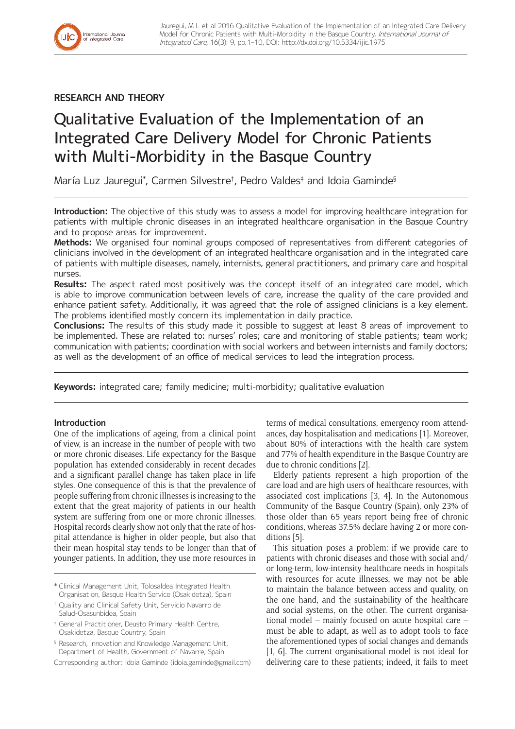**RESEARCH AND THEORY**

International Journal<br>of Integrated Care

# Qualitative Evaluation of the Implementation of an Integrated Care Delivery Model for Chronic Patients with Multi-Morbidity in the Basque Country

María Luz Jauregui\* , Carmen Silvestre† , Pedro Valdes‡ and Idoia Gaminde§

**Introduction:** The objective of this study was to assess a model for improving healthcare integration for patients with multiple chronic diseases in an integrated healthcare organisation in the Basque Country and to propose areas for improvement.

**Methods:** We organised four nominal groups composed of representatives from different categories of clinicians involved in the development of an integrated healthcare organisation and in the integrated care of patients with multiple diseases, namely, internists, general practitioners, and primary care and hospital nurses.

**Results:** The aspect rated most positively was the concept itself of an integrated care model, which is able to improve communication between levels of care, increase the quality of the care provided and enhance patient safety. Additionally, it was agreed that the role of assigned clinicians is a key element. The problems identified mostly concern its implementation in daily practice.

**Conclusions:** The results of this study made it possible to suggest at least 8 areas of improvement to be implemented. These are related to: nurses' roles; care and monitoring of stable patients; team work; communication with patients; coordination with social workers and between internists and family doctors; as well as the development of an office of medical services to lead the integration process.

**Keywords:** integrated care; family medicine; multi-morbidity; qualitative evaluation

# **Introduction**

One of the implications of ageing, from a clinical point of view, is an increase in the number of people with two or more chronic diseases. Life expectancy for the Basque population has extended considerably in recent decades and a significant parallel change has taken place in life styles. One consequence of this is that the prevalence of people suffering from chronic illnesses is increasing to the extent that the great majority of patients in our health system are suffering from one or more chronic illnesses. Hospital records clearly show not only that the rate of hospital attendance is higher in older people, but also that their mean hospital stay tends to be longer than that of younger patients. In addition, they use more resources in

- \* Clinical Management Unit, Tolosaldea Integrated Health Organisation, Basque Health Service (Osakidetza), Spain
- † Quality and Clinical Safety Unit, Servicio Navarro de Salud-Osasunbidea, Spain

‡ General Practitioner, Deusto Primary Health Centre, Osakidetza, Basque Country, Spain

§ Research, Innovation and Knowledge Management Unit, Department of Health, Government of Navarre, Spain

Corresponding author: Idoia Gaminde ([idoia.gaminde@gmail.com](mailto:idoia.gaminde@gmail.com))

terms of medical consultations, emergency room attendances, day hospitalisation and medications [1]. Moreover, about 80% of interactions with the health care system and 77% of health expenditure in the Basque Country are due to chronic conditions [2].

Elderly patients represent a high proportion of the care load and are high users of healthcare resources, with associated cost implications [3, 4]. In the Autonomous Community of the Basque Country (Spain), only 23% of those older than 65 years report being free of chronic conditions, whereas 37.5% declare having 2 or more conditions [5].

This situation poses a problem: if we provide care to patients with chronic diseases and those with social and/ or long-term, low-intensity healthcare needs in hospitals with resources for acute illnesses, we may not be able to maintain the balance between access and quality, on the one hand, and the sustainability of the healthcare and social systems, on the other. The current organisational model – mainly focused on acute hospital care – must be able to adapt, as well as to adopt tools to face the aforementioned types of social changes and demands [1, 6]. The current organisational model is not ideal for delivering care to these patients; indeed, it fails to meet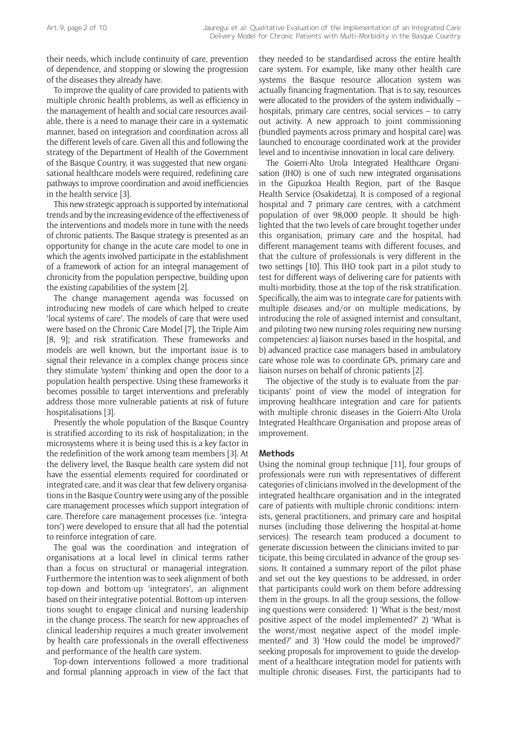their needs, which include continuity of care, prevention of dependence, and stopping or slowing the progression of the diseases they already have.

To improve the quality of care provided to patients with multiple chronic health problems, as well as efficiency in the management of health and social care resources available, there is a need to manage their care in a systematic manner, based on integration and coordination across all the different levels of care. Given all this and following the strategy of the Department of Health of the Government of the Basque Country, it was suggested that new organisational healthcare models were required, redefining care pathways to improve coordination and avoid inefficiencies in the health service [3].

This new strategic approach is supported by international trends and by the increasing evidence of the effectiveness of the interventions and models more in tune with the needs of chronic patients. The Basque strategy is presented as an opportunity for change in the acute care model to one in which the agents involved participate in the establishment of a framework of action for an integral management of chronicity from the population perspective, building upon the existing capabilities of the system [2].

The change management agenda was focussed on introducing new models of care which helped to create 'local systems of care'. The models of care that were used were based on the Chronic Care Model [7], the Triple Aim [8, 9]; and risk stratification. These frameworks and models are well known, but the important issue is to signal their relevance in a complex change process since they stimulate 'system' thinking and open the door to a population health perspective. Using these frameworks it becomes possible to target interventions and preferably address those more vulnerable patients at risk of future hospitalisations [3].

Presently the whole population of the Basque Country is stratified according to its risk of hospitalization; in the microsystems where it is being used this is a key factor in the redefinition of the work among team members [3]. At the delivery level, the Basque health care system did not have the essential elements required for coordinated or integrated care, and it was clear that few delivery organisations in the Basque Country were using any of the possible care management processes which support integration of care. Therefore care management processes (i.e. 'integrators') were developed to ensure that all had the potential to reinforce integration of care.

The goal was the coordination and integration of organisations at a local level in clinical terms rather than a focus on structural or managerial integration. Furthermore the intention was to seek alignment of both top-down and bottom-up 'integrators', an alignment based on their integrative potential. Bottom-up interventions sought to engage clinical and nursing leadership in the change process. The search for new approaches of clinical leadership requires a much greater involvement by health care professionals in the overall effectiveness and performance of the health care system.

Top-down interventions followed a more traditional and formal planning approach in view of the fact that they needed to be standardised across the entire health care system. For example, like many other health care systems the Basque resource allocation system was actually financing fragmentation. That is to say, resources were allocated to the providers of the system individually – hospitals, primary care centres, social services – to carry out activity. A new approach to joint commissioning (bundled payments across primary and hospital care) was launched to encourage coordinated work at the provider level and to incentivise innovation in local care delivery.

The Goierri-Alto Urola Integrated Healthcare Organisation (IHO) is one of such new integrated organisations in the Gipuzkoa Health Region, part of the Basque Health Service (Osakidetza). It is composed of a regional hospital and 7 primary care centres, with a catchment population of over 98,000 people. It should be highlighted that the two levels of care brought together under this organisation, primary care and the hospital, had different management teams with different focuses, and that the culture of professionals is very different in the two settings [10]. This IHO took part in a pilot study to test for different ways of delivering care for patients with multi-morbidity, those at the top of the risk stratification. Specifically, the aim was to integrate care for patients with multiple diseases and/or on multiple medications, by introducing the role of assigned internist and consultant, and piloting two new nursing roles requiring new nursing competencies: a) liaison nurses based in the hospital, and b) advanced practice case managers based in ambulatory care whose role was to coordinate GPs, primary care and liaison nurses on behalf of chronic patients [2].

The objective of the study is to evaluate from the participants' point of view the model of integration for improving healthcare integration and care for patients with multiple chronic diseases in the Goierri-Alto Urola Integrated Healthcare Organisation and propose areas of improvement.

## **Methods**

Using the nominal group technique [11], four groups of professionals were run with representatives of different categories of clinicians involved in the development of the integrated healthcare organisation and in the integrated care of patients with multiple chronic conditions: internists, general practitioners, and primary care and hospital nurses (including those delivering the hospital-at-home services). The research team produced a document to generate discussion between the clinicians invited to participate, this being circulated in advance of the group sessions. It contained a summary report of the pilot phase and set out the key questions to be addressed, in order that participants could work on them before addressing them in the groups. In all the group sessions, the following questions were considered: 1) 'What is the best/most positive aspect of the model implemented?' 2) 'What is the worst/most negative aspect of the model implemented?' and 3) 'How could the model be improved?' seeking proposals for improvement to guide the development of a healthcare integration model for patients with multiple chronic diseases. First, the participants had to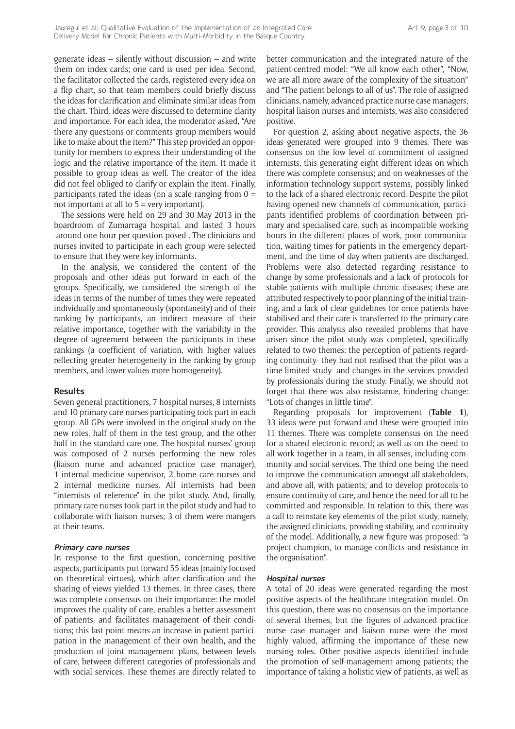generate ideas – silently without discussion – and write them on index cards; one card is used per idea. Second, the facilitator collected the cards, registered every idea on a flip chart, so that team members could briefly discuss the ideas for clarification and eliminate similar ideas from the chart. Third, ideas were discussed to determine clarity and importance. For each idea, the moderator asked, "Are there any questions or comments group members would like to make about the item?" This step provided an opportunity for members to express their understanding of the logic and the relative importance of the item. It made it possible to group ideas as well. The creator of the idea did not feel obliged to clarify or explain the item. Finally, participants rated the ideas (on a scale ranging from  $0 =$ not important at all to 5 = very important).

The sessions were held on 29 and 30 May 2013 in the boardroom of Zumarraga hospital, and lasted 3 hours -around one hour per question posed-. The clinicians and nurses invited to participate in each group were selected to ensure that they were key informants.

In the analysis, we considered the content of the proposals and other ideas put forward in each of the groups. Specifically, we considered the strength of the ideas in terms of the number of times they were repeated individually and spontaneously (spontaneity) and of their ranking by participants, an indirect measure of their relative importance, together with the variability in the degree of agreement between the participants in these rankings (a coefficient of variation, with higher values reflecting greater heterogeneity in the ranking by group members, and lower values more homogeneity).

#### **Results**

Seven general practitioners, 7 hospital nurses, 8 internists and 10 primary care nurses participating took part in each group. All GPs were involved in the original study on the new roles, half of them in the test group, and the other half in the standard care one. The hospital nurses' group was composed of 2 nurses performing the new roles (liaison nurse and advanced practice case manager), 1 internal medicine supervisor, 2 home care nurses and 2 internal medicine nurses. All internists had been "internists of reference" in the pilot study. And, finally, primary care nurses took part in the pilot study and had to collaborate with liaison nurses; 3 of them were mangers at their teams.

#### **Primary care nurses**

In response to the first question, concerning positive aspects, participants put forward 55 ideas (mainly focused on theoretical virtues), which after clarification and the sharing of views yielded 13 themes. In three cases, there was complete consensus on their importance: the model improves the quality of care, enables a better assessment of patients, and facilitates management of their conditions; this last point means an increase in patient participation in the management of their own health, and the production of joint management plans, between levels of care, between different categories of professionals and with social services. These themes are directly related to

better communication and the integrated nature of the patient-centred model: "We all know each other", "Now, we are all more aware of the complexity of the situation" and "The patient belongs to all of us". The role of assigned clinicians, namely, advanced practice nurse case managers, hospital liaison nurses and internists, was also considered positive.

For question 2, asking about negative aspects, the 36 ideas generated were grouped into 9 themes. There was consensus on the low level of commitment of assigned internists, this generating eight different ideas on which there was complete consensus; and on weaknesses of the information technology support systems, possibly linked to the lack of a shared electronic record. Despite the pilot having opened new channels of communication, participants identified problems of coordination between primary and specialised care, such as incompatible working hours in the different places of work, poor communication, waiting times for patients in the emergency department, and the time of day when patients are discharged. Problems were also detected regarding resistance to change by some professionals and a lack of protocols for stable patients with multiple chronic diseases; these are attributed respectively to poor planning of the initial training, and a lack of clear guidelines for once patients have stabilised and their care is transferred to the primary care provider. This analysis also revealed problems that have arisen since the pilot study was completed, specifically related to two themes: the perception of patients regarding continuity- they had not realised that the pilot was a time-limited study- and changes in the services provided by professionals during the study. Finally, we should not forget that there was also resistance, hindering change: "Lots of changes in little time".

Regarding proposals for improvement (**Table 1**), 33 ideas were put forward and these were grouped into 11 themes. There was complete consensus on the need for a shared electronic record; as well as on the need to all work together in a team, in all senses, including community and social services. The third one being the need to improve the communication amongst all stakeholders, and above all, with patients; and to develop protocols to ensure continuity of care, and hence the need for all to be committed and responsible. In relation to this, there was a call to reinstate key elements of the pilot study, namely, the assigned clinicians, providing stability, and continuity of the model. Additionally, a new figure was proposed: "a project champion, to manage conflicts and resistance in the organisation".

#### **Hospital nurses**

A total of 20 ideas were generated regarding the most positive aspects of the healthcare integration model. On this question, there was no consensus on the importance of several themes, but the figures of advanced practice nurse case manager and liaison nurse were the most highly valued, affirming the importance of these new nursing roles. Other positive aspects identified include the promotion of self-management among patients; the importance of taking a holistic view of patients, as well as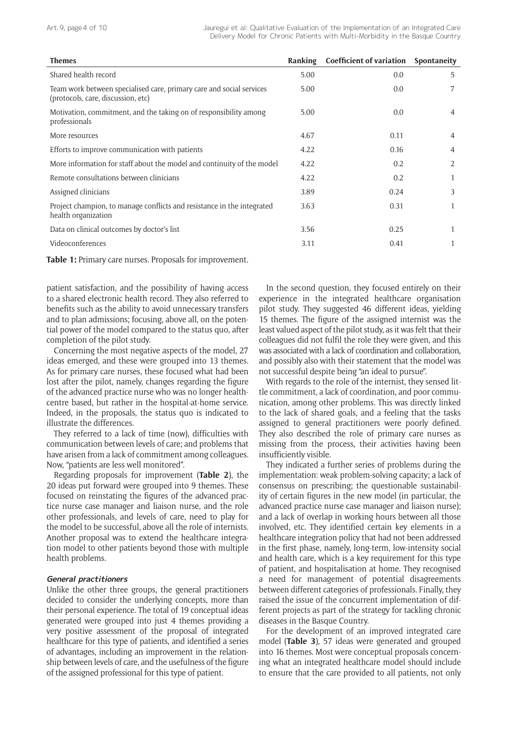| <b>Themes</b>                                                                                              | Ranking | <b>Coefficient of variation</b> | Spontaneity    |
|------------------------------------------------------------------------------------------------------------|---------|---------------------------------|----------------|
| Shared health record                                                                                       | 5.00    | 0.0                             | 5              |
| Team work between specialised care, primary care and social services<br>(protocols, care, discussion, etc) | 5.00    | 0.0                             | 7              |
| Motivation, commitment, and the taking on of responsibility among<br>professionals                         | 5.00    | 0.0                             | 4              |
| More resources                                                                                             | 4.67    | 0.11                            | $\overline{4}$ |
| Efforts to improve communication with patients                                                             | 4.22    | 0.16                            | $\overline{4}$ |
| More information for staff about the model and continuity of the model                                     | 4.22    | 0.2                             | 2              |
| Remote consultations between clinicians                                                                    | 4.22    | 0.2                             |                |
| Assigned clinicians                                                                                        | 3.89    | 0.24                            | 3              |
| Project champion, to manage conflicts and resistance in the integrated<br>health organization              | 3.63    | 0.31                            |                |
| Data on clinical outcomes by doctor's list                                                                 | 3.56    | 0.25                            |                |
| Videoconferences                                                                                           | 3.11    | 0.41                            |                |

**Table 1:** Primary care nurses. Proposals for improvement.

patient satisfaction, and the possibility of having access to a shared electronic health record. They also referred to benefits such as the ability to avoid unnecessary transfers and to plan admissions; focusing, above all, on the potential power of the model compared to the status quo, after completion of the pilot study.

Concerning the most negative aspects of the model, 27 ideas emerged, and these were grouped into 13 themes. As for primary care nurses, these focused what had been lost after the pilot, namely, changes regarding the figure of the advanced practice nurse who was no longer healthcentre based, but rather in the hospital-at-home service. Indeed, in the proposals, the status quo is indicated to illustrate the differences.

They referred to a lack of time (now), difficulties with communication between levels of care; and problems that have arisen from a lack of commitment among colleagues. Now, "patients are less well monitored".

Regarding proposals for improvement (**Table 2**), the 20 ideas put forward were grouped into 9 themes. These focused on reinstating the figures of the advanced practice nurse case manager and liaison nurse, and the role other professionals, and levels of care, need to play for the model to be successful, above all the role of internists. Another proposal was to extend the healthcare integration model to other patients beyond those with multiple health problems.

## **General practitioners**

Unlike the other three groups, the general practitioners decided to consider the underlying concepts, more than their personal experience. The total of 19 conceptual ideas generated were grouped into just 4 themes providing a very positive assessment of the proposal of integrated healthcare for this type of patients, and identified a series of advantages, including an improvement in the relationship between levels of care, and the usefulness of the figure of the assigned professional for this type of patient.

In the second question, they focused entirely on their experience in the integrated healthcare organisation pilot study. They suggested 46 different ideas, yielding 15 themes. The figure of the assigned internist was the least valued aspect of the pilot study, as it was felt that their colleagues did not fulfil the role they were given, and this was associated with a lack of coordination and collaboration, and possibly also with their statement that the model was not successful despite being "an ideal to pursue".

With regards to the role of the internist, they sensed little commitment, a lack of coordination, and poor communication, among other problems. This was directly linked to the lack of shared goals, and a feeling that the tasks assigned to general practitioners were poorly defined. They also described the role of primary care nurses as missing from the process, their activities having been insufficiently visible.

They indicated a further series of problems during the implementation: weak problem-solving capacity; a lack of consensus on prescribing; the questionable sustainability of certain figures in the new model (in particular, the advanced practice nurse case manager and liaison nurse); and a lack of overlap in working hours between all those involved, etc. They identified certain key elements in a healthcare integration policy that had not been addressed in the first phase, namely, long-term, low-intensity social and health care, which is a key requirement for this type of patient, and hospitalisation at home. They recognised a need for management of potential disagreements between different categories of professionals. Finally, they raised the issue of the concurrent implementation of different projects as part of the strategy for tackling chronic diseases in the Basque Country.

For the development of an improved integrated care model (**Table 3**), 57 ideas were generated and grouped into 16 themes. Most were conceptual proposals concerning what an integrated healthcare model should include to ensure that the care provided to all patients, not only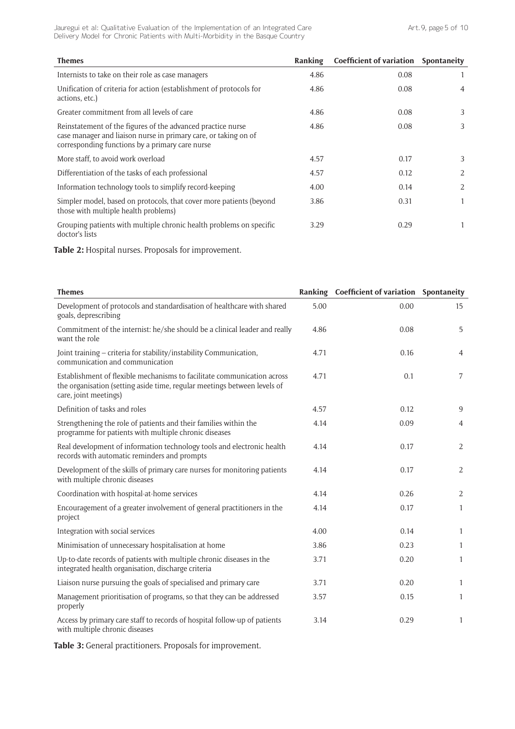Art. 9, page 5 of 10

Jauregui et al: Qualitative Evaluation of the Implementation of an Integrated Care Delivery Model for Chronic Patients with Multi-Morbidity in the Basque Country

| <b>Themes</b>                                                                                                                                                                     | Ranking | Coefficient of variation Spontaneity |   |
|-----------------------------------------------------------------------------------------------------------------------------------------------------------------------------------|---------|--------------------------------------|---|
| Internists to take on their role as case managers                                                                                                                                 | 4.86    | 0.08                                 |   |
| Unification of criteria for action (establishment of protocols for<br>actions, etc.)                                                                                              | 4.86    | 0.08                                 | 4 |
| Greater commitment from all levels of care                                                                                                                                        | 4.86    | 0.08                                 | 3 |
| Reinstatement of the figures of the advanced practice nurse<br>case manager and liaison nurse in primary care, or taking on of<br>corresponding functions by a primary care nurse | 4.86    | 0.08                                 | 3 |
| More staff, to avoid work overload                                                                                                                                                | 4.57    | 0.17                                 | 3 |
| Differentiation of the tasks of each professional                                                                                                                                 | 4.57    | 0.12                                 | 2 |
| Information technology tools to simplify record-keeping                                                                                                                           | 4.00    | 0.14                                 | 2 |
| Simpler model, based on protocols, that cover more patients (beyond<br>those with multiple health problems)                                                                       | 3.86    | 0.31                                 | 1 |
| Grouping patients with multiple chronic health problems on specific<br>doctor's lists                                                                                             | 3.29    | 0.29                                 | 1 |

**Table 2:** Hospital nurses. Proposals for improvement.

| <b>Themes</b>                                                                                                                                                                |      | Ranking Coefficient of variation Spontaneity |                |
|------------------------------------------------------------------------------------------------------------------------------------------------------------------------------|------|----------------------------------------------|----------------|
| Development of protocols and standardisation of healthcare with shared<br>goals, deprescribing                                                                               | 5.00 | 0.00                                         | 15             |
| Commitment of the internist: he/she should be a clinical leader and really<br>want the role                                                                                  | 4.86 | 0.08                                         | 5              |
| Joint training - criteria for stability/instability Communication,<br>communication and communication                                                                        | 4.71 | 0.16                                         | $\overline{4}$ |
| Establishment of flexible mechanisms to facilitate communication across<br>the organisation (setting aside time, regular meetings between levels of<br>care, joint meetings) | 4.71 | 0.1                                          | 7              |
| Definition of tasks and roles                                                                                                                                                | 4.57 | 0.12                                         | 9              |
| Strengthening the role of patients and their families within the<br>programme for patients with multiple chronic diseases                                                    | 4.14 | 0.09                                         | $\overline{4}$ |
| Real development of information technology tools and electronic health<br>records with automatic reminders and prompts                                                       | 4.14 | 0.17                                         | $\overline{2}$ |
| Development of the skills of primary care nurses for monitoring patients<br>with multiple chronic diseases                                                                   | 4.14 | 0.17                                         | 2              |
| Coordination with hospital-at-home services                                                                                                                                  | 4.14 | 0.26                                         | 2              |
| Encouragement of a greater involvement of general practitioners in the<br>project                                                                                            | 4.14 | 0.17                                         | $\mathbf{1}$   |
| Integration with social services                                                                                                                                             | 4.00 | 0.14                                         | $\mathbf{1}$   |
| Minimisation of unnecessary hospitalisation at home                                                                                                                          | 3.86 | 0.23                                         | $\mathbf{1}$   |
| Up-to-date records of patients with multiple chronic diseases in the<br>integrated health organisation, discharge criteria                                                   | 3.71 | 0.20                                         | $\mathbf{1}$   |
| Liaison nurse pursuing the goals of specialised and primary care                                                                                                             | 3.71 | 0.20                                         | $\mathbf{1}$   |
| Management prioritisation of programs, so that they can be addressed<br>properly                                                                                             | 3.57 | 0.15                                         | $\mathbf{1}$   |
| Access by primary care staff to records of hospital follow-up of patients<br>with multiple chronic diseases                                                                  | 3.14 | 0.29                                         | $\mathbf{1}$   |

**Table 3:** General practitioners. Proposals for improvement.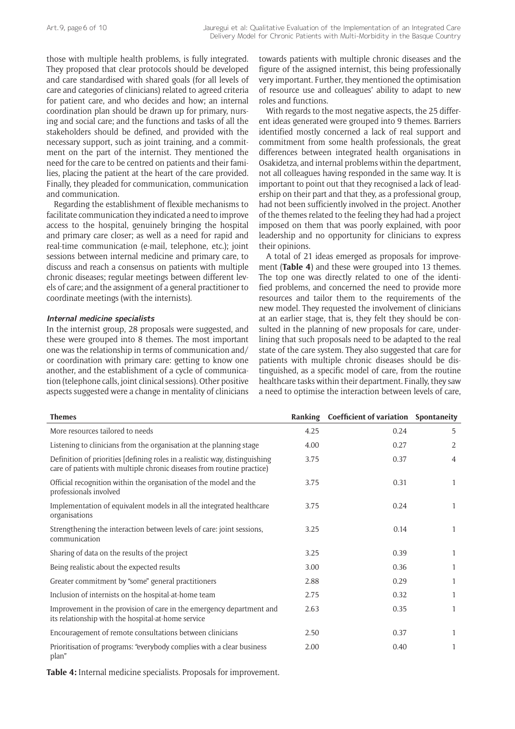those with multiple health problems, is fully integrated. They proposed that clear protocols should be developed and care standardised with shared goals (for all levels of care and categories of clinicians) related to agreed criteria for patient care, and who decides and how; an internal coordination plan should be drawn up for primary, nursing and social care; and the functions and tasks of all the stakeholders should be defined, and provided with the necessary support, such as joint training, and a commitment on the part of the internist. They mentioned the need for the care to be centred on patients and their families, placing the patient at the heart of the care provided. Finally, they pleaded for communication, communication and communication.

Regarding the establishment of flexible mechanisms to facilitate communication they indicated a need to improve access to the hospital, genuinely bringing the hospital and primary care closer; as well as a need for rapid and real-time communication (e-mail, telephone, etc.); joint sessions between internal medicine and primary care, to discuss and reach a consensus on patients with multiple chronic diseases; regular meetings between different levels of care; and the assignment of a general practitioner to coordinate meetings (with the internists).

#### **Internal medicine specialists**

In the internist group, 28 proposals were suggested, and these were grouped into 8 themes. The most important one was the relationship in terms of communication and/ or coordination with primary care: getting to know one another, and the establishment of a cycle of communication (telephone calls, joint clinical sessions). Other positive aspects suggested were a change in mentality of clinicians

towards patients with multiple chronic diseases and the figure of the assigned internist, this being professionally very important. Further, they mentioned the optimisation of resource use and colleagues' ability to adapt to new roles and functions.

With regards to the most negative aspects, the 25 different ideas generated were grouped into 9 themes. Barriers identified mostly concerned a lack of real support and commitment from some health professionals, the great differences between integrated health organisations in Osakidetza, and internal problems within the department, not all colleagues having responded in the same way. It is important to point out that they recognised a lack of leadership on their part and that they, as a professional group, had not been sufficiently involved in the project. Another of the themes related to the feeling they had had a project imposed on them that was poorly explained, with poor leadership and no opportunity for clinicians to express their opinions.

A total of 21 ideas emerged as proposals for improvement (**Table 4**) and these were grouped into 13 themes. The top one was directly related to one of the identified problems, and concerned the need to provide more resources and tailor them to the requirements of the new model. They requested the involvement of clinicians at an earlier stage, that is, they felt they should be consulted in the planning of new proposals for care, underlining that such proposals need to be adapted to the real state of the care system. They also suggested that care for patients with multiple chronic diseases should be distinguished, as a specific model of care, from the routine healthcare tasks within their department. Finally, they saw a need to optimise the interaction between levels of care,

| <b>Themes</b>                                                                                                                                         | Ranking | Coefficient of variation Spontaneity |                |
|-------------------------------------------------------------------------------------------------------------------------------------------------------|---------|--------------------------------------|----------------|
| More resources tailored to needs                                                                                                                      | 4.25    | 0.24                                 | 5              |
| Listening to clinicians from the organisation at the planning stage                                                                                   | 4.00    | 0.27                                 | 2              |
| Definition of priorities [defining roles in a realistic way, distinguishing<br>care of patients with multiple chronic diseases from routine practice) | 3.75    | 0.37                                 | $\overline{4}$ |
| Official recognition within the organisation of the model and the<br>professionals involved                                                           | 3.75    | 0.31                                 | 1              |
| Implementation of equivalent models in all the integrated healthcare<br>organisations                                                                 | 3.75    | 0.24                                 | $\mathbf{1}$   |
| Strengthening the interaction between levels of care: joint sessions,<br>communication                                                                | 3.25    | 0.14                                 | 1              |
| Sharing of data on the results of the project                                                                                                         | 3.25    | 0.39                                 | $\mathbf{1}$   |
| Being realistic about the expected results                                                                                                            | 3.00    | 0.36                                 | 1              |
| Greater commitment by "some" general practitioners                                                                                                    | 2.88    | 0.29                                 | 1              |
| Inclusion of internists on the hospital-at-home team                                                                                                  | 2.75    | 0.32                                 | 1              |
| Improvement in the provision of care in the emergency department and<br>its relationship with the hospital-at-home service                            | 2.63    | 0.35                                 | 1              |
| Encouragement of remote consultations between clinicians                                                                                              | 2.50    | 0.37                                 | 1              |
| Prioritisation of programs: "everybody complies with a clear business<br>plan"                                                                        | 2.00    | 0.40                                 | 1              |

**Table 4:** Internal medicine specialists. Proposals for improvement.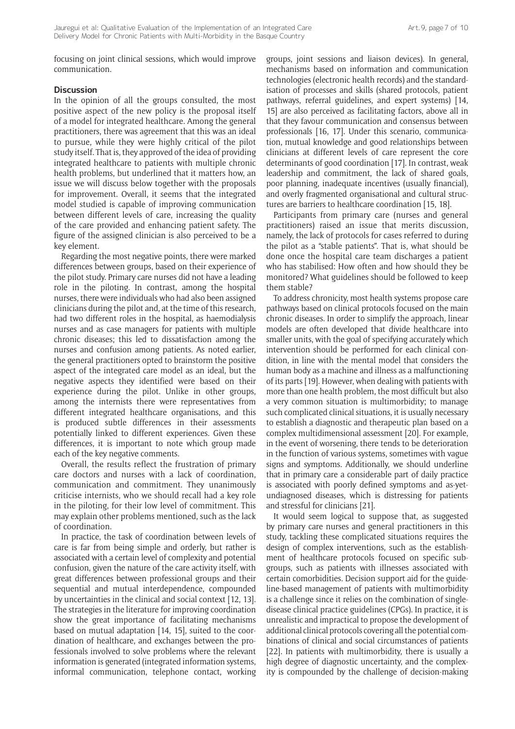focusing on joint clinical sessions, which would improve communication.

## **Discussion**

In the opinion of all the groups consulted, the most positive aspect of the new policy is the proposal itself of a model for integrated healthcare. Among the general practitioners, there was agreement that this was an ideal to pursue, while they were highly critical of the pilot study itself. That is, they approved of the idea of providing integrated healthcare to patients with multiple chronic health problems, but underlined that it matters how, an issue we will discuss below together with the proposals for improvement. Overall, it seems that the integrated model studied is capable of improving communication between different levels of care, increasing the quality of the care provided and enhancing patient safety. The figure of the assigned clinician is also perceived to be a key element.

Regarding the most negative points, there were marked differences between groups, based on their experience of the pilot study. Primary care nurses did not have a leading role in the piloting. In contrast, among the hospital nurses, there were individuals who had also been assigned clinicians during the pilot and, at the time of this research, had two different roles in the hospital, as haemodialysis nurses and as case managers for patients with multiple chronic diseases; this led to dissatisfaction among the nurses and confusion among patients. As noted earlier, the general practitioners opted to brainstorm the positive aspect of the integrated care model as an ideal, but the negative aspects they identified were based on their experience during the pilot. Unlike in other groups, among the internists there were representatives from different integrated healthcare organisations, and this is produced subtle differences in their assessments potentially linked to different experiences. Given these differences, it is important to note which group made each of the key negative comments.

Overall, the results reflect the frustration of primary care doctors and nurses with a lack of coordination, communication and commitment. They unanimously criticise internists, who we should recall had a key role in the piloting, for their low level of commitment. This may explain other problems mentioned, such as the lack of coordination.

In practice, the task of coordination between levels of care is far from being simple and orderly, but rather is associated with a certain level of complexity and potential confusion, given the nature of the care activity itself, with great differences between professional groups and their sequential and mutual interdependence, compounded by uncertainties in the clinical and social context [12, 13]. The strategies in the literature for improving coordination show the great importance of facilitating mechanisms based on mutual adaptation [14, 15], suited to the coordination of healthcare, and exchanges between the professionals involved to solve problems where the relevant information is generated (integrated information systems, informal communication, telephone contact, working groups, joint sessions and liaison devices). In general, mechanisms based on information and communication technologies (electronic health records) and the standardisation of processes and skills (shared protocols, patient pathways, referral guidelines, and expert systems) [14, 15] are also perceived as facilitating factors, above all in that they favour communication and consensus between professionals [16, 17]. Under this scenario, communication, mutual knowledge and good relationships between clinicians at different levels of care represent the core determinants of good coordination [17]. In contrast, weak leadership and commitment, the lack of shared goals, poor planning, inadequate incentives (usually financial), and overly fragmented organisational and cultural structures are barriers to healthcare coordination [15, 18].

Participants from primary care (nurses and general practitioners) raised an issue that merits discussion, namely, the lack of protocols for cases referred to during the pilot as a "stable patients". That is, what should be done once the hospital care team discharges a patient who has stabilised: How often and how should they be monitored? What guidelines should be followed to keep them stable?

To address chronicity, most health systems propose care pathways based on clinical protocols focused on the main chronic diseases. In order to simplify the approach, linear models are often developed that divide healthcare into smaller units, with the goal of specifying accurately which intervention should be performed for each clinical condition, in line with the mental model that considers the human body as a machine and illness as a malfunctioning of its parts [19]. However, when dealing with patients with more than one health problem, the most difficult but also a very common situation is multimorbidity; to manage such complicated clinical situations, it is usually necessary to establish a diagnostic and therapeutic plan based on a complex multidimensional assessment [20]. For example, in the event of worsening, there tends to be deterioration in the function of various systems, sometimes with vague signs and symptoms. Additionally, we should underline that in primary care a considerable part of daily practice is associated with poorly defined symptoms and as-yetundiagnosed diseases, which is distressing for patients and stressful for clinicians [21].

It would seem logical to suppose that, as suggested by primary care nurses and general practitioners in this study, tackling these complicated situations requires the design of complex interventions, such as the establishment of healthcare protocols focused on specific subgroups, such as patients with illnesses associated with certain comorbidities. Decision support aid for the guideline-based management of patients with multimorbidity is a challenge since it relies on the combination of singledisease clinical practice guidelines (CPGs). In practice, it is unrealistic and impractical to propose the development of additional clinical protocols covering all the potential combinations of clinical and social circumstances of patients [22]. In patients with multimorbidity, there is usually a high degree of diagnostic uncertainty, and the complexity is compounded by the challenge of decision-making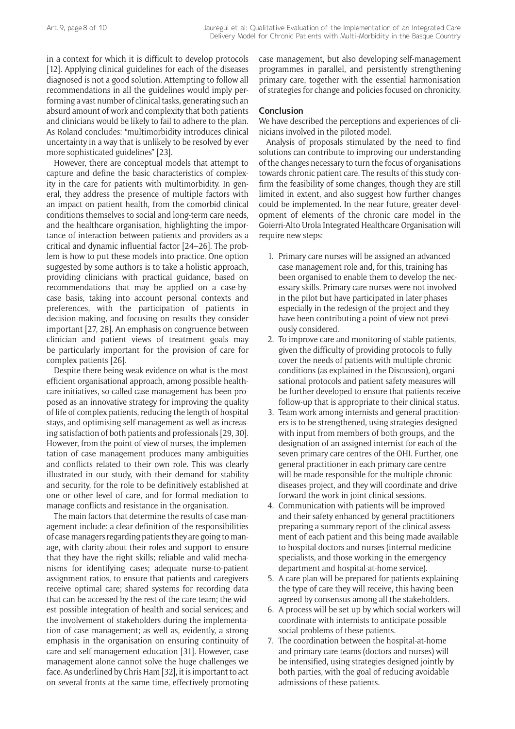in a context for which it is difficult to develop protocols [12]. Applying clinical guidelines for each of the diseases diagnosed is not a good solution. Attempting to follow all recommendations in all the guidelines would imply performing a vast number of clinical tasks, generating such an absurd amount of work and complexity that both patients and clinicians would be likely to fail to adhere to the plan. As Roland concludes: "multimorbidity introduces clinical uncertainty in a way that is unlikely to be resolved by ever more sophisticated guidelines" [23].

However, there are conceptual models that attempt to capture and define the basic characteristics of complexity in the care for patients with multimorbidity. In general, they address the presence of multiple factors with an impact on patient health, from the comorbid clinical conditions themselves to social and long-term care needs, and the healthcare organisation, highlighting the importance of interaction between patients and providers as a critical and dynamic influential factor [24–26]. The problem is how to put these models into practice. One option suggested by some authors is to take a holistic approach, providing clinicians with practical guidance, based on recommendations that may be applied on a case-bycase basis, taking into account personal contexts and preferences, with the participation of patients in decision-making, and focusing on results they consider important [27, 28]. An emphasis on congruence between clinician and patient views of treatment goals may be particularly important for the provision of care for complex patients [26].

Despite there being weak evidence on what is the most efficient organisational approach, among possible healthcare initiatives, so-called case management has been proposed as an innovative strategy for improving the quality of life of complex patients, reducing the length of hospital stays, and optimising self-management as well as increasing satisfaction of both patients and professionals [29, 30]. However, from the point of view of nurses, the implementation of case management produces many ambiguities and conflicts related to their own role. This was clearly illustrated in our study, with their demand for stability and security, for the role to be definitively established at one or other level of care, and for formal mediation to manage conflicts and resistance in the organisation.

The main factors that determine the results of case management include: a clear definition of the responsibilities of case managers regarding patients they are going to manage, with clarity about their roles and support to ensure that they have the right skills; reliable and valid mechanisms for identifying cases; adequate nurse-to-patient assignment ratios, to ensure that patients and caregivers receive optimal care; shared systems for recording data that can be accessed by the rest of the care team; the widest possible integration of health and social services; and the involvement of stakeholders during the implementation of case management; as well as, evidently, a strong emphasis in the organisation on ensuring continuity of care and self-management education [31]. However, case management alone cannot solve the huge challenges we face. As underlined by Chris Ham [32], it is important to act on several fronts at the same time, effectively promoting

case management, but also developing self-management programmes in parallel, and persistently strengthening primary care, together with the essential harmonisation of strategies for change and policies focused on chronicity.

## **Conclusion**

We have described the perceptions and experiences of clinicians involved in the piloted model.

Analysis of proposals stimulated by the need to find solutions can contribute to improving our understanding of the changes necessary to turn the focus of organisations towards chronic patient care. The results of this study confirm the feasibility of some changes, though they are still limited in extent, and also suggest how further changes could be implemented. In the near future, greater development of elements of the chronic care model in the Goierri-Alto Urola Integrated Healthcare Organisation will require new steps:

- 1. Primary care nurses will be assigned an advanced case management role and, for this, training has been organised to enable them to develop the necessary skills. Primary care nurses were not involved in the pilot but have participated in later phases especially in the redesign of the project and they have been contributing a point of view not previously considered.
- 2. To improve care and monitoring of stable patients, given the difficulty of providing protocols to fully cover the needs of patients with multiple chronic conditions (as explained in the Discussion), organisational protocols and patient safety measures will be further developed to ensure that patients receive follow-up that is appropriate to their clinical status.
- 3. Team work among internists and general practitioners is to be strengthened, using strategies designed with input from members of both groups, and the designation of an assigned internist for each of the seven primary care centres of the OHI. Further, one general practitioner in each primary care centre will be made responsible for the multiple chronic diseases project, and they will coordinate and drive forward the work in joint clinical sessions.
- 4. Communication with patients will be improved and their safety enhanced by general practitioners preparing a summary report of the clinical assessment of each patient and this being made available to hospital doctors and nurses (internal medicine specialists, and those working in the emergency department and hospital-at-home service).
- 5. A care plan will be prepared for patients explaining the type of care they will receive, this having been agreed by consensus among all the stakeholders.
- 6. A process will be set up by which social workers will coordinate with internists to anticipate possible social problems of these patients.
- 7. The coordination between the hospital-at-home and primary care teams (doctors and nurses) will be intensified, using strategies designed jointly by both parties, with the goal of reducing avoidable admissions of these patients.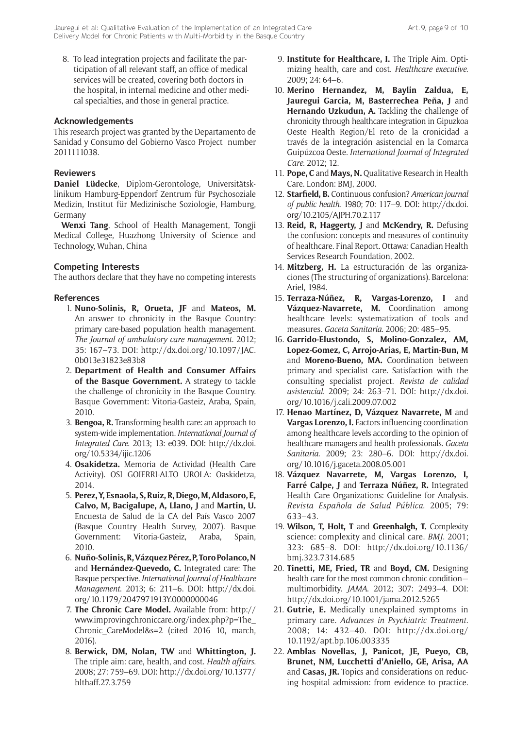8. To lead integration projects and facilitate the participation of all relevant staff, an office of medical services will be created, covering both doctors in the hospital, in internal medicine and other medical specialties, and those in general practice.

## **Acknowledgements**

This research project was granted by the Departamento de Sanidad y Consumo del Gobierno Vasco Project number 2011111038.

## **Reviewers**

**Daniel Lüdecke**, Diplom-Gerontologe, Universitätsklinikum Hamburg-Eppendorf Zentrum für Psychosoziale Medizin, Institut für Medizinische Soziologie, Hamburg, Germany

**Wenxi Tang**, School of Health Management, Tongji Medical College, Huazhong University of Science and Technology, Wuhan, China

# **Competing Interests**

The authors declare that they have no competing interests

## **References**

- 1. **Nuno-Solinis, R, Orueta, JF** and **Mateos, M.** An answer to chronicity in the Basque Country: primary care-based population health management. *The Journal of ambulatory care management*. 2012; 35: 167–73. DOI: [http://dx.doi.org/10.1097/JAC.](http://dx.doi.org/10.1097/JAC.0b013e31823e83b8) [0b013e31823e83b8](http://dx.doi.org/10.1097/JAC.0b013e31823e83b8)
- 2. **Department of Health and Consumer Affairs of the Basque Government.** A strategy to tackle the challenge of chronicity in the Basque Country. Basque Government: Vitoria-Gasteiz, Araba, Spain, 2010.
- 3. **Bengoa, R.** Transforming health care: an approach to system-wide implementation. *International Journal of Integrated Care*. 2013; 13: e039. DOI: [http://dx.doi.](http://dx.doi.org/10.5334/ijic.1206) [org/10.5334/ijic.1206](http://dx.doi.org/10.5334/ijic.1206)
- 4. **Osakidetza.** Memoria de Actividad (Health Care Activity). OSI GOIERRI-ALTO UROLA: Oaskidetza, 2014.
- 5. **Perez, Y, Esnaola, S, Ruiz, R, Diego, M, Aldasoro, E, Calvo, M, Bacigalupe, A, Llano, J** and **Martin, U.** Encuesta de Salud de la CA del País Vasco 2007 (Basque Country Health Survey, 2007). Basque Government: Vitoria-Gasteiz, Araba, Spain, 2010.
- 6. **Nuño-Solinis, R, Vázquez Pérez, P, Toro Polanco, N** and **Hernández-Quevedo, C.** Integrated care: The Basque perspective. *International Journal of Healthcare Management*. 2013; 6: 211–6. DOI: [http://dx.doi.](http://dx.doi.org/10.1179/2047971913Y.0000000046) [org/10.1179/2047971913Y.0000000046](http://dx.doi.org/10.1179/2047971913Y.0000000046)
- 7. **The Chronic Care Model.** Available from: [http://](http://www.improvingchroniccare.org/index.php?p=The_Chronic_CareModel&s=2) [www.improvingchroniccare.org/index.php?p=The\\_](http://www.improvingchroniccare.org/index.php?p=The_Chronic_CareModel&s=2) [Chronic\\_CareModel&s=2](http://www.improvingchroniccare.org/index.php?p=The_Chronic_CareModel&s=2) (cited 2016 10, march, 2016).
- 8. **Berwick, DM, Nolan, TW** and **Whittington, J.** The triple aim: care, health, and cost. *Health affairs*. 2008; 27: 759–69. DOI: [http://dx.doi.org/10.1377/](http://dx.doi.org/10.1377/hlthaff.27.3.759) [hlthaff.27.3.759](http://dx.doi.org/10.1377/hlthaff.27.3.759)
- 9. **Institute for Healthcare, I.** The Triple Aim. Optimizing health, care and cost. *Healthcare executive*. 2009; 24: 64–6.
- 10. **Merino Hernandez, M, Baylin Zaldua, E, Jauregui Garcia, M, Basterrechea Peña, J** and **Hernando Uzkudun, A.** Tackling the challenge of chronicity through healthcare integration in Gipuzkoa Oeste Health Region/El reto de la cronicidad a través de la integración asistencial en la Comarca Guipúzcoa Oeste. *International Journal of Integrated Care*. 2012; 12.
- 11. **Pope, C** and **Mays, N.** Qualitative Research in Health Care. London: BMJ, 2000.
- 12. **Starfield, B.** Continuous confusion? *American journal of public health*. 1980; 70: 117–9. DOI: [http://dx.doi.](http://dx.doi.org/10.2105/AJPH.70.2.117) [org/10.2105/AJPH.70.2.117](http://dx.doi.org/10.2105/AJPH.70.2.117)
- 13. **Reid, R, Haggerty, J** and **McKendry, R.** Defusing the confusion: concepts and measures of continuity of healthcare. Final Report. Ottawa: Canadian Health Services Research Foundation, 2002.
- 14. **Mitzberg, H.** La estructuración de las organizaciones (The structuring of organizations). Barcelona: Ariel, 1984.
- 15. **Terraza-Núñez, R, Vargas-Lorenzo, I** and Vázquez-Navarrete, M. Coordination among healthcare levels: systematization of tools and measures. *Gaceta Sanitaria*. 2006; 20: 485–95.
- 16. **Garrido-Elustondo, S, Molino-Gonzalez, AM, Lopez-Gomez, C, Arrojo-Arias, E, Martin-Bun, M** and **Moreno-Bueno, MA.** Coordination between primary and specialist care. Satisfaction with the consulting specialist project. *Revista de calidad asistencial*. 2009; 24: 263–71. DOI: [http://dx.doi.](http://dx.doi.org/10.1016/j.cali.2009.07.002) [org/10.1016/j.cali.2009.07.002](http://dx.doi.org/10.1016/j.cali.2009.07.002)
- 17. **Henao Martínez, D, Vázquez Navarrete, M** and **Vargas Lorenzo, I.** Factors influencing coordination among healthcare levels according to the opinion of healthcare managers and health professionals. *Gaceta Sanitaria*. 2009; 23: 280–6. DOI: [http://dx.doi.](http://dx.doi.org/10.1016/j.gaceta.2008.05.001) [org/10.1016/j.gaceta.2008.05.001](http://dx.doi.org/10.1016/j.gaceta.2008.05.001)
- 18. **Vázquez Navarrete, M, Vargas Lorenzo, I, Farré Calpe, J** and **Terraza Núñez, R.** Integrated Health Care Organizations: Guideline for Analysis. *Revista Española de Salud Pública*. 2005; 79: 633–43.
- 19. **Wilson, T, Holt, T** and **Greenhalgh, T.** Complexity science: complexity and clinical care. *BMJ*. 2001; 323: 685–8. DOI: [http://dx.doi.org/10.1136/](http://dx.doi.org/10.1136/bmj.323.7314.685) [bmj.323.7314.685](http://dx.doi.org/10.1136/bmj.323.7314.685)
- 20. **Tinetti, ME, Fried, TR** and **Boyd, CM.** Designing health care for the most common chronic condition multimorbidity. *JAMA*. 2012; 307: 2493–4. DOI: <http://dx.doi.org/10.1001/jama.2012.5265>
- 21. **Gutrie, E.** Medically unexplained symptoms in primary care. *Advances in Psychiatric Treatment*. 2008; 14: 432–40. DOI: [http://dx.doi.org/](http://dx.doi.org/10.1192/apt.bp.106.003335) [10.1192/apt.bp.106.003335](http://dx.doi.org/10.1192/apt.bp.106.003335)
- 22. **Amblas Novellas, J, Panicot, JE, Pueyo, CB, Brunet, NM, Lucchetti d'Aniello, GE, Arisa, AA** and **Casas, JR.** Topics and considerations on reducing hospital admission: from evidence to practice.